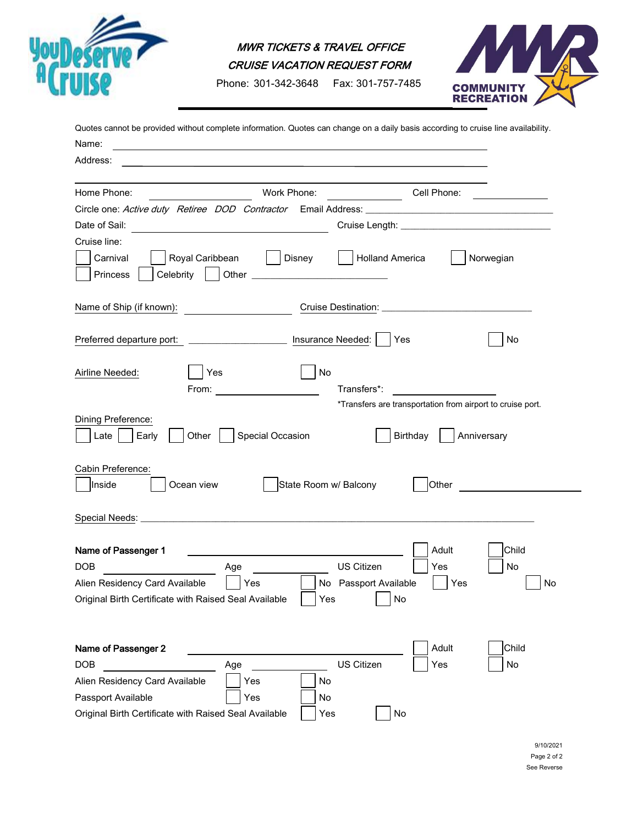

MWR TICKETS & TRAVEL OFFICE

CRUISE VACATION REQUEST FORM

Phone: 301-342-3648 Fax: 301-757-7485



| Quotes cannot be provided without complete information. Quotes can change on a daily basis according to cruise line availability.                                                                                                      |                                            |                                                            |                   |  |  |
|----------------------------------------------------------------------------------------------------------------------------------------------------------------------------------------------------------------------------------------|--------------------------------------------|------------------------------------------------------------|-------------------|--|--|
| Name:<br>the control of the control of the control of the control of the control of the control of the control of the control of the control of the control of the control of the control of the control of the control of the control |                                            |                                                            |                   |  |  |
| Address:                                                                                                                                                                                                                               |                                            |                                                            |                   |  |  |
|                                                                                                                                                                                                                                        |                                            |                                                            |                   |  |  |
| Home Phone:                                                                                                                                                                                                                            | Work Phone:                                |                                                            | Cell Phone:       |  |  |
|                                                                                                                                                                                                                                        |                                            |                                                            |                   |  |  |
| Date of Sail:<br><u> 1980 - Johann Barn, mars eta bainar eta bat erroman erroman erroman erroman erroman erroman erroman erroman e</u>                                                                                                 |                                            |                                                            |                   |  |  |
| Cruise line:<br>Royal Caribbean   Disney<br>Carnival<br>Princess                                                                                                                                                                       | Holland America                            |                                                            | Norwegian         |  |  |
| Name of Ship (if known):                                                                                                                                                                                                               |                                            |                                                            |                   |  |  |
| Preferred departure port: ________________________ Insurance Needed:                                                                                                                                                                   |                                            | Yes                                                        | No                |  |  |
| Yes<br>Airline Needed:<br>From: $\qquad \qquad$                                                                                                                                                                                        | No<br>Transfers*:                          | *Transfers are transportation from airport to cruise port. |                   |  |  |
| Dining Preference:<br>Other $\vert$<br>Special Occasion<br>Early<br>Late                                                                                                                                                               |                                            | Birthday  <br>Anniversary                                  |                   |  |  |
| Cabin Preference:<br>Inside<br>Ocean view                                                                                                                                                                                              | State Room w/ Balcony                      | Other                                                      |                   |  |  |
|                                                                                                                                                                                                                                        |                                            |                                                            |                   |  |  |
| Name of Passenger 1<br><b>DOB</b><br>Age<br>Alien Residency Card Available<br>Yes<br>Original Birth Certificate with Raised Seal Available                                                                                             | US Citizen<br>No Passport Available<br>Yes | Adult<br>Yes<br>Yes<br>No                                  | Child<br>No<br>No |  |  |
| Name of Passenger 2<br><b>DOB</b><br>Age<br>Alien Residency Card Available<br>Yes<br>Passport Available<br>Yes<br>Original Birth Certificate with Raised Seal Available                                                                | US Citizen<br>No<br>No<br>Yes              | Adult<br>Yes<br>No                                         | Child<br>No       |  |  |